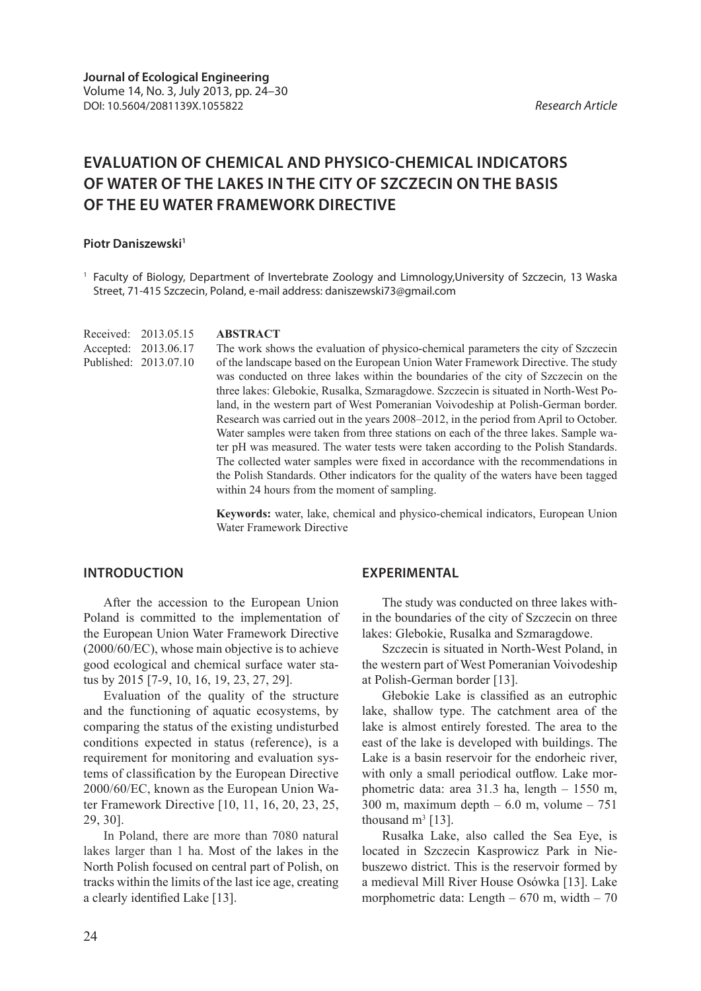# **EVALUATION OF CHEMICAL AND PHYSICO-CHEMICAL INDICATORS OF WATER OF THE LAKES IN THE CITY OF SZCZECIN ON THE BASIS OF THE EU WATER FRAMEWORK DIRECTIVE**

## Piotr Daniszewski<sup>1</sup>

<sup>1</sup> Faculty of Biology, Department of Invertebrate Zoology and Limnology,University of Szczecin, 13 Waska Street, 71-415 Szczecin, Poland, e-mail address: daniszewski73@gmail.com

Received: 2013.05.15 Accepted: 2013.06.17 Published: 2013.07.10

#### **ABSTRACT**

The work shows the evaluation of physico-chemical parameters the city of Szczecin of the landscape based on the European Union Water Framework Directive. The study was conducted on three lakes within the boundaries of the city of Szczecin on the three lakes: Glebokie, Rusalka, Szmaragdowe. Szczecin is situated in North-West Poland, in the western part of West Pomeranian Voivodeship at Polish-German border. Research was carried out in the years 2008–2012, in the period from April to October. Water samples were taken from three stations on each of the three lakes. Sample water pH was measured. The water tests were taken according to the Polish Standards. The collected water samples were fixed in accordance with the recommendations in the Polish Standards. Other indicators for the quality of the waters have been tagged within 24 hours from the moment of sampling.

**Keywords:** water, lake, chemical and physico-chemical indicators, European Union Water Framework Directive

# **INTRODUCTION**

After the accession to the European Union Poland is committed to the implementation of the European Union Water Framework Directive (2000/60/EC), whose main objective is to achieve good ecological and chemical surface water status by 2015 [7-9, 10, 16, 19, 23, 27, 29].

Evaluation of the quality of the structure and the functioning of aquatic ecosystems, by comparing the status of the existing undisturbed conditions expected in status (reference), is a requirement for monitoring and evaluation systems of classification by the European Directive 2000/60/EC, known as the European Union Water Framework Directive [10, 11, 16, 20, 23, 25, 29, 30].

In Poland, there are more than 7080 natural lakes larger than 1 ha. Most of the lakes in the North Polish focused on central part of Polish, on tracks within the limits of the last ice age, creating a clearly identified Lake [13].

# **EXPERIMENTAL**

The study was conducted on three lakes within the boundaries of the city of Szczecin on three lakes: Glebokie, Rusalka and Szmaragdowe.

Szczecin is situated in North-West Poland, in the western part of West Pomeranian Voivodeship at Polish-German border [13].

Głebokie Lake is classified as an eutrophic lake, shallow type. The catchment area of the lake is almost entirely forested. The area to the east of the lake is developed with buildings. The Lake is a basin reservoir for the endorheic river, with only a small periodical outflow. Lake morphometric data: area 31.3 ha, length – 1550 m, 300 m, maximum depth  $-6.0$  m, volume  $-751$ thousand  $m^3$  [13].

Rusałka Lake, also called the Sea Eye, is located in Szczecin Kasprowicz Park in Niebuszewo district. This is the reservoir formed by a medieval Mill River House Osówka [13]. Lake morphometric data: Length  $-670$  m, width  $-70$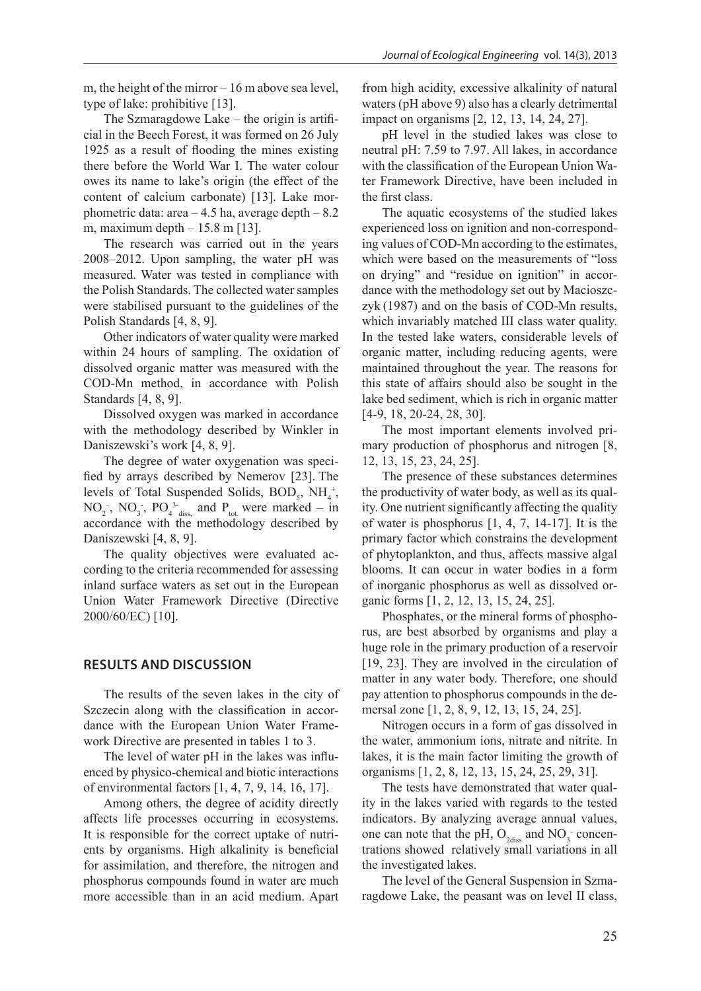m, the height of the mirror – 16 m above sea level, type of lake: prohibitive [13].

The Szmaragdowe Lake – the origin is artificial in the Beech Forest, it was formed on 26 July 1925 as a result of flooding the mines existing there before the World War I. The water colour owes its name to lake's origin (the effect of the content of calcium carbonate) [13]. Lake morphometric data: area  $-4.5$  ha, average depth  $-8.2$ m, maximum depth  $-15.8$  m [13].

The research was carried out in the years 2008–2012. Upon sampling, the water pH was measured. Water was tested in compliance with the Polish Standards. The collected water samples were stabilised pursuant to the guidelines of the Polish Standards [4, 8, 9].

Other indicators of water quality were marked within 24 hours of sampling. The oxidation of dissolved organic matter was measured with the COD-Mn method, in accordance with Polish Standards [4, 8, 9].

Dissolved oxygen was marked in accordance with the methodology described by Winkler in Daniszewski's work [4, 8, 9].

The degree of water oxygenation was specified by arrays described by Nemerov [23]. The levels of Total Suspended Solids,  $BOD<sub>5</sub>$ ,  $NH<sub>4</sub><sup>+</sup>$ ,  $NO_2^-$ ,  $NO_3^-$ ,  $PO_4^{3-}$ <sub>diss,</sub> and  $P_{tot}$  were marked – in accordance with the methodology described by Daniszewski [4, 8, 9].

The quality objectives were evaluated according to the criteria recommended for assessing inland surface waters as set out in the European Union Water Framework Directive (Directive 2000/60/EC) [10].

# **RESULTS AND DISCUSSION**

The results of the seven lakes in the city of Szczecin along with the classification in accordance with the European Union Water Framework Directive are presented in tables 1 to 3.

The level of water pH in the lakes was influenced by physico-chemical and biotic interactions of environmental factors [1, 4, 7, 9, 14, 16, 17].

Among others, the degree of acidity directly affects life processes occurring in ecosystems. It is responsible for the correct uptake of nutrients by organisms. High alkalinity is beneficial for assimilation, and therefore, the nitrogen and phosphorus compounds found in water are much more accessible than in an acid medium. Apart from high acidity, excessive alkalinity of natural waters (pH above 9) also has a clearly detrimental impact on organisms [2, 12, 13, 14, 24, 27].

pH level in the studied lakes was close to neutral pH: 7.59 to 7.97. All lakes, in accordance with the classification of the European Union Water Framework Directive, have been included in the first class.

The aquatic ecosystems of the studied lakes experienced loss on ignition and non-corresponding values of COD-Mn according to the estimates, which were based on the measurements of "loss on drying" and "residue on ignition" in accordance with the methodology set out by Macioszczyk (1987) and on the basis of COD-Mn results, which invariably matched III class water quality. In the tested lake waters, considerable levels of organic matter, including reducing agents, were maintained throughout the year. The reasons for this state of affairs should also be sought in the lake bed sediment, which is rich in organic matter [4-9, 18, 20-24, 28, 30].

The most important elements involved primary production of phosphorus and nitrogen [8, 12, 13, 15, 23, 24, 25].

The presence of these substances determines the productivity of water body, as well as its quality. One nutrient significantly affecting the quality of water is phosphorus  $[1, 4, 7, 14-17]$ . It is the primary factor which constrains the development of phytoplankton, and thus, affects massive algal blooms. It can occur in water bodies in a form of inorganic phosphorus as well as dissolved organic forms [1, 2, 12, 13, 15, 24, 25].

Phosphates, or the mineral forms of phosphorus, are best absorbed by organisms and play a huge role in the primary production of a reservoir [19, 23]. They are involved in the circulation of matter in any water body. Therefore, one should pay attention to phosphorus compounds in the demersal zone [1, 2, 8, 9, 12, 13, 15, 24, 25].

Nitrogen occurs in a form of gas dissolved in the water, ammonium ions, nitrate and nitrite. In lakes, it is the main factor limiting the growth of organisms [1, 2, 8, 12, 13, 15, 24, 25, 29, 31].

The tests have demonstrated that water quality in the lakes varied with regards to the tested indicators. By analyzing average annual values, one can note that the pH,  $O_{2diss}$  and  $NO_3^-$  concentrations showed relatively small variations in all the investigated lakes.

The level of the General Suspension in Szmaragdowe Lake, the peasant was on level II class,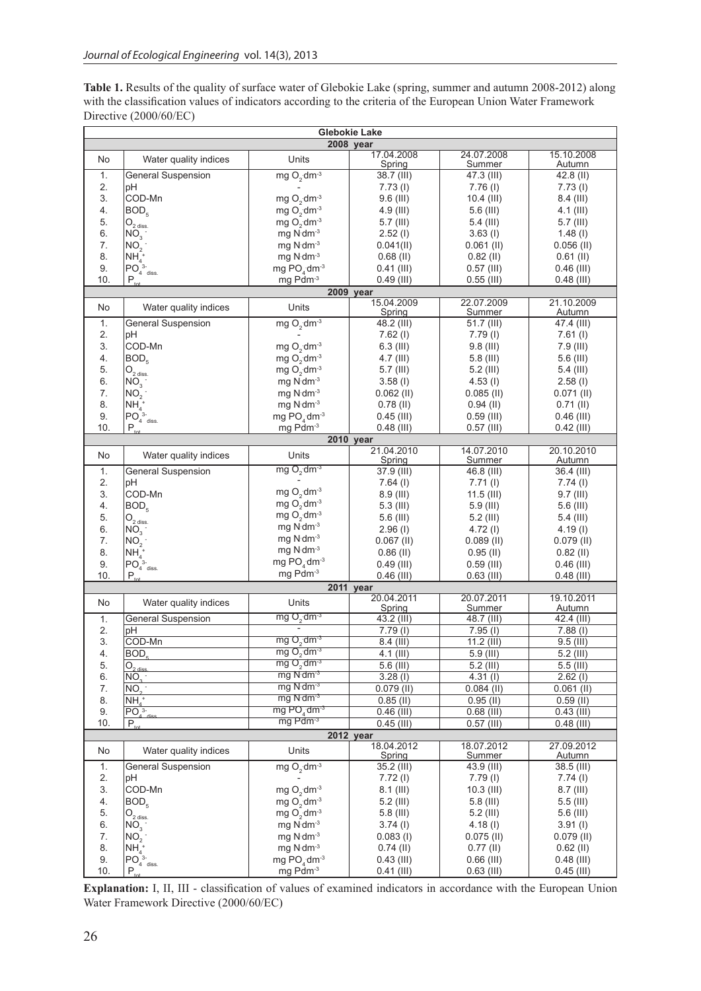| <b>Table 1.</b> Results of the quality of surface water of Glebokie Lake (spring, summer and autumn 2008-2012) along |
|----------------------------------------------------------------------------------------------------------------------|
| with the classification values of indicators according to the criteria of the European Union Water Framework         |
| Directive $(2000/60/EC)$                                                                                             |

| <b>Glebokie Lake</b> |                                                            |                                     |                          |                             |                             |  |  |
|----------------------|------------------------------------------------------------|-------------------------------------|--------------------------|-----------------------------|-----------------------------|--|--|
| 2008 year            |                                                            |                                     |                          |                             |                             |  |  |
| No                   | Water quality indices                                      | Units                               | 17.04.2008<br>Spring     | 24.07.2008<br>Summer        | 15.10.2008<br>Autumn        |  |  |
| 1.<br>2.             | General Suspension<br>рH                                   | mg $O_2$ dm <sup>-3</sup>           | 38.7 (III)<br>$7.73$ (l) | 47.3 (III)<br>$7.76$ (I)    | $42.8$ (II)<br>$7.73$ (l)   |  |  |
| 3.                   | COD-Mn                                                     | mg $O_2$ dm <sup>-3</sup>           | $9.6$ (III)              | $10.4$ (III)                | 8.4 (III)                   |  |  |
| 4.                   | BOD <sub>5</sub>                                           | mg O <sub>2</sub> dm <sup>-3</sup>  | 4.9 (III)                | 5.6 (III)                   | $4.1$ (III)                 |  |  |
| 5.                   |                                                            | mg $O2$ dm <sup>-3</sup>            | $5.7$ (III)              | $5.4$ (III)                 | $5.7$ (III)                 |  |  |
| 6.                   | $O_{2 \text{ diss.}}$<br>NO <sub>3</sub>                   | mg N dm <sup>-3</sup>               | $2.52$ (l)               | $3.63$ (l)                  | $1.48$ (l)                  |  |  |
| 7.                   | NO <sub>2</sub>                                            | mg N dm <sup>-3</sup>               | 0.041(11)                | $0.061$ (II)                | $0.056$ (II)                |  |  |
| 8.                   | $NH4$ <sup>+</sup>                                         | mg N dm <sup>-3</sup>               | $0.68$ (II)              | $0.82$ (II)                 | $0.61$ (II)                 |  |  |
| 9.                   | $PO43-diss.$                                               | mg PO <sub>4</sub> dm <sup>-3</sup> | $0.41$ (III)             | $0.57$ (III)                | $0.46$ (III)                |  |  |
| 10.                  | $P_{tot}$                                                  | mg Pdm-3                            | $0.49$ (III)             | $0.55$ (III)                | $0.48$ (III)                |  |  |
|                      |                                                            |                                     | 2009 year                |                             |                             |  |  |
|                      |                                                            |                                     | 15.04.2009               | 22.07.2009                  | 21.10.2009                  |  |  |
| No                   | Water quality indices                                      | Units                               | Spring                   | <b>Summer</b>               | Autumn                      |  |  |
| 1.                   | General Suspension                                         | mg $O_2$ dm <sup>-3</sup>           | 48.2 (III)               | 51.7 (III)                  | 47.4 (III)                  |  |  |
| 2.                   | рH                                                         |                                     | $7.62$ (l)               | $7.79$ (l)                  | $7.61$ (l)                  |  |  |
| 3.                   | COD-Mn                                                     | mg $O_2$ dm <sup>-3</sup>           | $6.3$ (III)              | $9.8$ (III)                 | 7.9 (III)                   |  |  |
| 4.                   | BOD <sub>5</sub>                                           | mg $O_2$ dm <sup>-3</sup>           | $4.7$ (III)              | $5.8$ (III)                 | 5.6 (III)                   |  |  |
| 5.                   | $O_{2 \text{ diss.}}$                                      | mg O <sub>2</sub> dm <sup>-3</sup>  | $5.7$ (III)              | $5.2$ (III)                 | $5.4$ (III)                 |  |  |
| 6.                   | NO <sub>3</sub>                                            | mg N dm <sup>-3</sup>               | $3.58$ (l)               | $4.53$ (I)                  | $2.58$ (I)                  |  |  |
| 7.                   | NO <sub>2</sub>                                            | mg N dm <sup>-3</sup>               | $0.062$ (II)             | $0.085$ (II)                | $0.071$ (II)                |  |  |
| 8.                   | $NH4+$                                                     | mg N dm <sup>-3</sup>               | $0.78$ (II)              | $0.94$ (II)                 | $0.71$ (II)                 |  |  |
| 9.                   | $PO43-diss.$                                               | mg PO <sub>4</sub> dm <sup>-3</sup> | $0.45$ (III)             | $0.59$ (III)                | $0.46$ (III)                |  |  |
| 10.                  | $P_{\text{tot}}$                                           | mg Pdm-3                            | $0.48$ (III)             | $0.57$ (III)                | $0.42$ (III)                |  |  |
|                      |                                                            |                                     | 2010 year                |                             |                             |  |  |
| No                   | Water quality indices                                      | Units                               | 21.04.2010               | 14.07.2010                  | 20.10.2010                  |  |  |
| 1.                   | <b>General Suspension</b>                                  | mg O <sub>2</sub> dm <sup>3</sup>   | Spring<br>37.9 (III)     | <b>Summer</b><br>46.8 (III) | <u>Autumn</u><br>36.4 (III) |  |  |
| 2.                   | pH                                                         |                                     | $7.64$ (l)               | 7.71(l)                     | $7.74$ (l)                  |  |  |
| 3.                   | COD-Mn                                                     | mg $O_2$ dm <sup>-3</sup>           | $8.9$ (III)              | $11.5$ (III)                | $9.7$ (III)                 |  |  |
| 4.                   | BOD <sub>5</sub>                                           | mg O <sub>2</sub> dm <sup>-3</sup>  | $5.3$ (III)              | $5.9$ (III)                 | $5.6$ (III)                 |  |  |
| 5.                   |                                                            | mg $O_2$ dm <sup>-3</sup>           | $5.6$ (III)              | $5.2$ (III)                 | $5.4$ (III)                 |  |  |
| 6.                   | $\mathsf{O}_{\mathsf{2} \text{ diss.}}$<br>NO <sub>3</sub> | mg N dm <sup>-3</sup>               | $2.96$ (l)               | $4.72$ (l)                  | $4.19$ (l)                  |  |  |
| 7.                   | NO <sub>2</sub>                                            | mg N dm <sup>-3</sup>               | $0.067$ (II)             | $0.089$ (II)                | $0.079$ (II)                |  |  |
| 8.                   | $NH4$ <sup>+</sup>                                         | mg N dm <sup>-3</sup>               | $0.86$ (II)              | $0.95$ (II)                 | $0.82$ (II)                 |  |  |
| 9.                   | $PO43$ diss.                                               | mg PO <sub>4</sub> dm <sup>-3</sup> | $0.49$ (III)             | $0.59$ (III)                | $0.46$ (III)                |  |  |
| 10.                  | $P_{tot}$                                                  | mg Pdm-3                            | $0.46$ (III)             | $0.63$ (III)                | $0.48$ (III)                |  |  |
|                      |                                                            |                                     | 2011 year                |                             |                             |  |  |
| No                   | Water quality indices                                      | Units                               | 20.04.2011               | 20.07.2011                  | 19.10.2011                  |  |  |
| 1.                   | <b>General Suspension</b>                                  | mgQ, dm <sup>3</sup>                | Spring<br>43.2 (III)     | Summer<br>48.7 (III)        | Autumn<br>42.4 (III)        |  |  |
| 2.                   | pH                                                         |                                     | $7.79$ (l)               | $7.95$ (I)                  | $7.88$ (I)                  |  |  |
| 3.                   | COD-Mn                                                     | $mgO2dm-3$                          | 8.4 (III)                | 11.2 (III)                  | $9.5$ (III)                 |  |  |
| 4.                   | BOD <sub>6</sub>                                           | mg O <sub>2</sub> dm <sup>-3</sup>  | $4.1$ (III)              | 5.9 (III)                   | $\overline{5.2}$ (III)      |  |  |
| 5.                   | $O_{\rm 2\,diss.}$                                         | mg $O_3$ dm <sup>-3</sup>           | $5.6$ (III)              | 5.2 (III)                   | $5.5$ (III)                 |  |  |
| 6.                   | NO <sub>3</sub>                                            | mg N dm <sup>-3</sup>               | $3.28$ (l)               | $4.31$ (l)                  | $2.62$ (l)                  |  |  |
| 7.                   | NO <sub>2</sub>                                            | mg N dm <sup>-3</sup>               | $0.079$ (II)             | $0.084$ (II)                | $0.061$ (II)                |  |  |
| 8.                   | $NH4$ <sup>+</sup>                                         | mg N dm <sup>-3</sup>               | $0.85$ (II)              | $0.95$ (II)                 | $0.59$ (II)                 |  |  |
| 9.                   | $PO43$ <sub>dis</sub>                                      | $mg PO4 dm-3$                       | $0.46$ (III)             | $0.68$ (III)                | $0.43$ (III)                |  |  |
| 10.                  | $P_{\text{tot}}$                                           | mg Pdm <sup>-3</sup>                | $0.45$ (III)             | $0.57$ (III)                | $0.48$ (III)                |  |  |
|                      | 2012 year                                                  |                                     |                          |                             |                             |  |  |
| No                   | Water quality indices                                      | Units                               | 18.04.2012<br>Spring     | 18.07.2012<br><u>Summer</u> | 27.09.2012<br>Autumn        |  |  |
| 1.                   | <b>General Suspension</b>                                  | mg $O_2$ dm <sup>-3</sup>           | 35.2 (III)               | 43.9 (III)                  | 38.5 (III)                  |  |  |
| 2.                   | рH                                                         |                                     | $7.72$ (l)               | 7.79 (l)                    | $7.74$ (l)                  |  |  |
| 3.                   | COD-Mn                                                     | mg $O_2$ dm <sup>-3</sup>           | 8.1 (III)                | $10.3$ (III)                | 8.7 (III)                   |  |  |
| 4.                   | BOD <sub>5</sub>                                           | mg $O_2$ dm <sup>-3</sup>           | 5.2 (III)                | 5.8 (III)                   | $5.5$ (III)                 |  |  |
| 5.                   | ${\mathsf O}_{\mathsf 2\,\text{diss.}}$                    | mg $O_2$ dm <sup>-3</sup>           | $5.8$ (III)              | $5.2$ (III)                 | $5.6$ (III)                 |  |  |
| 6.                   | NO <sub>3</sub>                                            | mg N dm <sup>-3</sup>               | $3.74$ (l)               | $4.18$ (l)                  | $3.91$ (l)                  |  |  |
| 7.                   | NO <sub>2</sub>                                            | mg $N \, \text{dm}^{-3}$            | $0.083$ (I)              | $0.075$ (II)                | $0.079$ (II)                |  |  |
| 8.                   | $NH4+$                                                     | mg N dm <sup>-3</sup>               | $0.74$ (II)              | $0.77$ (II)                 | $0.62$ (II)                 |  |  |
| 9.                   | $PO43-diss.$                                               | mg $PO4$ dm <sup>-3</sup>           | $0.43$ (III)             | $0.66$ (III)                | $0.48$ (III)                |  |  |
| 10.                  | $P_{\text{tot}}$                                           | mg Pdm-3                            | $0.41$ (III)             | $0.63$ (III)                | $0.45$ (III)                |  |  |

**Explanation:** I, II, III - classification of values of examined indicators in accordance with the European Union Water Framework Directive (2000/60/EC)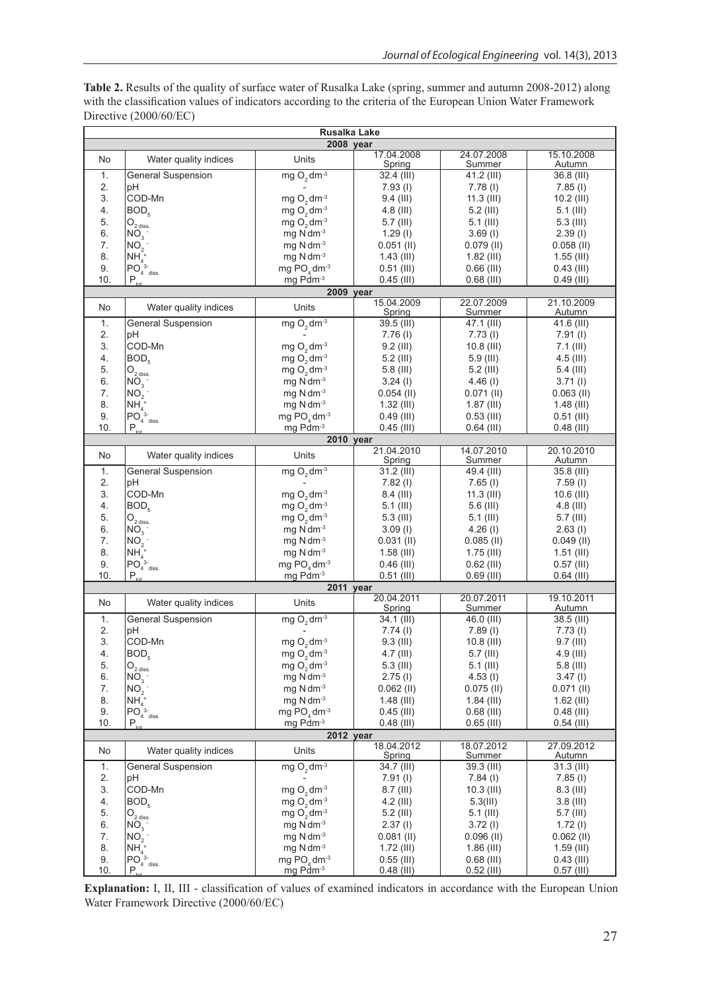|           | <b>Rusalka Lake</b>            |                                     |                      |                      |                             |  |  |
|-----------|--------------------------------|-------------------------------------|----------------------|----------------------|-----------------------------|--|--|
| 2008 year |                                |                                     |                      |                      |                             |  |  |
| No        | Water quality indices          | Units                               | 17.04.2008<br>Spring | 24.07.2008<br>Summer | 15.10.2008<br>Autumn        |  |  |
| 1.        | General Suspension             | mg $O_2$ dm <sup>-3</sup>           | 32.4 (III)           | 41.2 (III)           | 36.8 (III)                  |  |  |
| 2.        | pH                             |                                     | $7.93$ (l)           | 7.78(l)              | $7.85$ (l)                  |  |  |
| 3.        | COD-Mn                         | mg $O_2$ dm <sup>-3</sup>           | $9.4$ (III)          | $11.3$ (III)         | $10.2$ (III)                |  |  |
| 4.        | BOD <sub>5</sub>               | mg $O_2$ dm <sup>-3</sup>           | $4.8$ (III)          | $5.2$ (III)          | $5.1$ (III)                 |  |  |
| 5.        | ${\mathsf O}_{2\text{-diss.}}$ | mg $O_2$ dm <sup>-3</sup>           | 5.7 (III)            | $5.1$ (III)          | $5.3$ (III)                 |  |  |
| 6.        | NO <sub>3</sub>                | mg N dm <sup>-3</sup>               | $1.29$ (l)           | $3.69$ (l)           | $2.39$ (l)                  |  |  |
| 7.        | NO <sub>2</sub>                | mg $N$ dm <sup>-3</sup>             | $0.051$ (II)         | $0.079$ (II)         | $0.058$ (II)                |  |  |
| 8.        | $NH4$ <sup>+</sup>             | mg $N$ dm <sup>-3</sup>             | $1.43$ (III)         | $1.82$ (III)         | $1.55$ (III)                |  |  |
| 9.        | $PO43$ diss.                   | mg $PO4$ dm <sup>-3</sup>           | $0.51$ (III)         | $0.66$ (III)         | $0.43$ (III)                |  |  |
| 10.       | $P_{tot}$                      | mg Pdm-3                            | $0.45$ (III)         | $0.68$ (III)         | $0.49$ (III)                |  |  |
|           |                                | 2009 year                           |                      |                      |                             |  |  |
| No        | Water quality indices          | Units                               | 15.04.2009<br>Spring | 22.07.2009<br>Summer | 21.10.2009<br>Autumn        |  |  |
| 1.        | <b>General Suspension</b>      | mg $O_2$ dm <sup>-3</sup>           | 39.5 (III)           | 47.1 (III)           | 41.6 (III)                  |  |  |
| 2.        | рH                             |                                     | 7.76(l)              | 7.73(l)              | $7.91$ (l)                  |  |  |
| 3.        | COD-Mn                         | mg $O_2$ dm <sup>-3</sup>           | $9.2$ (III)          | 10.8 (III)           | $7.1$ (III)                 |  |  |
| 4.        | BOD <sub>5</sub>               | mg $O_2$ dm <sup>-3</sup>           | 5.2 (III)            | 5.9 (III)            | $4.5$ (III)                 |  |  |
| 5.        | ${\mathsf O}_{2\text{-diss.}}$ | mg O <sub>2</sub> dm <sup>-3</sup>  | $5.8$ (III)          | $5.2$ (III)          | $5.4$ (III)                 |  |  |
| 6.        | NO <sub>3</sub>                | mg N dm <sup>-3</sup>               | $3.24$ (l)           | $4.46$ (l)           | 3.71(l)                     |  |  |
| 7.        | NO <sub>2</sub>                | mg N dm <sup>-3</sup>               | $0.054$ (II)         | $0.071$ (II)         | $0.063$ (II)                |  |  |
| 8.        | $NH4+$                         | mg $N \, \text{dm}^{-3}$            | $1.32$ (III)         | $1.87$ (III)         | $1.48$ (III)                |  |  |
| 9.        | $PO43diss.$                    | mg $PO4$ dm <sup>-3</sup>           | $0.49$ (III)         | $0.53$ (III)         | $0.51$ (III)                |  |  |
| 10.       | $P_{\perp \omega t}$           | mg Pdm <sup>-3</sup>                | $0.45$ (III)         | $0.64$ (III)         | $0.48$ (III)                |  |  |
|           |                                | 2010 year                           |                      |                      |                             |  |  |
| No        | Water quality indices          | Units                               | 21.04.2010<br>Spring | 14.07.2010<br>Summer | 20.10.2010<br>Autumn        |  |  |
| 1.        | <b>General Suspension</b>      | mg $O_2$ dm <sup>-3</sup>           | 31.2 (III)           | 49.4 (III)           | 35.8 (III)                  |  |  |
| 2.        | pH                             |                                     | $7.82$ (l)           | $7.65$ (I)           | $7.59$ (l)                  |  |  |
| 3.        | COD-Mn                         | mg $O_2$ dm <sup>-3</sup>           | 8.4 (III)            | $11.3$ (III)         | $10.6$ (III)                |  |  |
| 4.        | BOD <sub>5</sub>               | mg $O_2$ dm <sup>-3</sup>           | $5.1$ (III)          | 5.6 (III)            | $4.8$ (III)                 |  |  |
| 5.        | $O_{2 \text{ diss.}}$          | mg $O_2$ dm <sup>-3</sup>           | $5.3$ (III)          | $5.1$ (III)          | $5.7$ (III)                 |  |  |
| 6.        | NO <sub>3</sub>                | mg N dm <sup>-3</sup>               | $3.09$ (I)           | $4.26$ (l)           | $2.63$ (l)                  |  |  |
| 7.        | NO <sub>2</sub>                | mg N dm <sup>-3</sup>               | $0.031$ (II)         | $0.085$ (II)         | $0.049$ (II)                |  |  |
| 8.        | $NH4$ <sup>+</sup>             | mg N dm <sup>-3</sup>               | $1.58$ (III)         | $1.75$ (III)         | $1.51$ (III)                |  |  |
| 9.        | $PO43diss.$                    | mg PO <sub>4</sub> dm <sup>-3</sup> | $0.46$ (III)         | $0.62$ (III)         | $0.57$ (III)                |  |  |
| 10.       | $P_{tot}$                      | mg Pdm-3                            | $0.51$ (III)         | $0.69$ (III)         | $0.64$ (III)                |  |  |
|           |                                | 2011 year                           |                      |                      |                             |  |  |
| No        | Water quality indices          | Units                               | 20.04.2011<br>Spring | 20.07.2011<br>Summer | 19.10.2011<br>Autumn        |  |  |
| 1.        | <b>General Suspension</b>      | mg $O_2$ dm <sup>-3</sup>           | 34.1 (III)           | 46.0 (III)           | 38.5 (III)                  |  |  |
| 2.        | рH                             |                                     | 7.74(l)              | $7.89$ (l)           | 7.73(l)                     |  |  |
| 3.        | COD-Mn                         | mg $O_2$ dm <sup>-3</sup>           | 9.3 (III)            | 10.8 (III)           | $9.7$ (III)                 |  |  |
| 4.        | BOD <sub>5</sub>               | mg $O_2$ dm <sup>-3</sup>           | 4.7 (III)            | 5.7 (III)            | 4.9 (III)                   |  |  |
| 5.        | $O_{2 \text{ diss.}}$          | mg $O_2$ dm <sup>-3</sup>           | $5.3$ (III)          | $5.1$ (III)          | $5.8$ (III)                 |  |  |
| 6.        | NO <sub>3</sub>                | mg N dm <sup>-3</sup>               | $2.75$ (l)           | $4.53$ (l)           | 3.47(l)                     |  |  |
| 7.        | NO <sub>2</sub>                | mg N dm <sup>-3</sup>               | $0.062$ (II)         | $0.075$ (II)         | $0.071$ (II)                |  |  |
| 8.        | $NH4$ <sup>+</sup>             | mg N dm <sup>-3</sup>               | $1.48$ (III)         | $1.84$ (III)         | $1.62$ (III)                |  |  |
| 9.        | $PO43-diss.$                   | mg $PO4$ dm <sup>-3</sup>           | $0.45$ (III)         | $0.68$ (III)         | $0.48$ (III)                |  |  |
| 10.       | $P_{\text{tot}}$               | mg Pdm-3                            | $0.48$ (III)         | $0.65$ (III)         | $0.54$ (III)                |  |  |
| 2012 year |                                |                                     |                      |                      |                             |  |  |
| No        | Water quality indices          | Units                               | 18.04.2012<br>Spring | 18.07.2012<br>Summer | 27.09.2012<br><u>Autumn</u> |  |  |
| 1.        | General Suspension             | mg $O_2$ dm <sup>-3</sup>           | 34.7 (III)           | 39.3 (III)           | 31.3 (III)                  |  |  |
| 2.        | рH                             |                                     | $7.91$ (l)           | $7.84$ (l)           | $7.85$ (I)                  |  |  |
| 3.        | COD-Mn                         | mg $O_2$ dm <sup>-3</sup>           | 8.7 (III)            | $10.3$ (III)         | 8.3 (III)                   |  |  |
| 4.        | BOD <sub>5</sub>               | mg $O_2$ dm <sup>-3</sup>           | 4.2 (III)            | 5.3(III)             | $3.8$ (III)                 |  |  |
| 5.        | $O_{\rm 2\,diss.}$             | mg $O_2$ dm <sup>-3</sup>           | $5.2$ (III)          | $5.1$ (III)          | 5.7 (III)                   |  |  |
| 6.        | NO <sub>3</sub>                | mg $N$ dm <sup>-3</sup>             | 2.37(l)              | $3.72$ (l)           | $1.72$ (l)                  |  |  |
| 7.        | NO <sub>2</sub>                | mg $N \, \text{dm}^{-3}$            | $0.081$ (II)         | $0.096$ (II)         | $0.062$ (II)                |  |  |
| 8.        | $NH4$ <sup>+</sup>             | mg N dm <sup>-3</sup>               | $1.72$ (III)         | $1.86$ (III)         | $1.59$ (III)                |  |  |
| 9.        | $PO43$ diss.                   | mg $PO4$ dm <sup>-3</sup>           | $0.55$ (III)         | $0.68$ (III)         | $0.43$ (III)                |  |  |
| 10.       | P.                             | mg Pdm <sup>-3</sup>                | $0.48$ (III)         | $0.52$ (III)         | $0.57$ (III)                |  |  |

Table 2. Results of the quality of surface water of Rusalka Lake (spring, summer and autumn 2008-2012) along with the classification values of indicators according to the criteria of the European Union Water Framework Directive (2000/60/EC)

**Explanation:** I, II, III - classification of values of examined indicators in accordance with the European Union Water Framework Directive (2000/60/EC)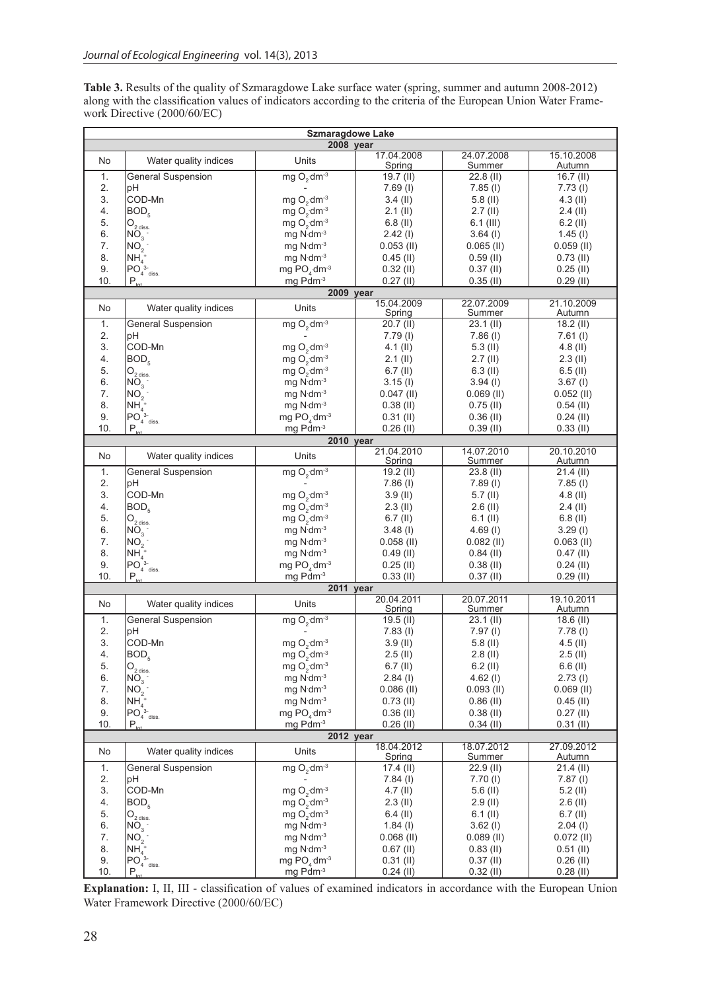**Table 3.** Results of the quality of Szmaragdowe Lake surface water (spring, summer and autumn 2008-2012) along with the classification values of indicators according to the criteria of the European Union Water Framework Directive (2000/60/EC)

| <b>Szmaragdowe Lake</b> |                           |                                     |                      |                      |                             |  |  |
|-------------------------|---------------------------|-------------------------------------|----------------------|----------------------|-----------------------------|--|--|
| $2008$ year             |                           |                                     |                      |                      |                             |  |  |
| No                      | Water quality indices     | Units                               | 17.04.2008<br>Spring | 24.07.2008<br>Summer | 15.10.2008<br>Autumn        |  |  |
| 1.                      | <b>General Suspension</b> | mg $O_2$ dm <sup>-3</sup>           | 19.7 (II)            | $22.8$ (II)          | $16.7$ (II)                 |  |  |
| 2.                      | рH                        |                                     | $7.69$ (I)           | 7.85(l)              | $7.73$ (I)                  |  |  |
| 3.                      | COD-Mn                    | mg $O_2$ dm <sup>-3</sup>           | $3.4$ (II)           | $5.8$ (II)           | $4.3$ (II)                  |  |  |
| 4.                      | BOD <sub>5</sub>          | mg $O_2$ dm <sup>-3</sup>           | $2.1$ (II)           | $2.7$ (II)           | $2.4$ (II)                  |  |  |
| 5.                      | $O_{2 \text{ diss.}}$     | mg $O_2$ dm <sup>-3</sup>           | $6.8$ (II)           | $6.1$ (III)          | $6.2$ (II)                  |  |  |
| 6.                      | NO <sub>3</sub>           | mg N dm <sup>-3</sup>               | $2.42$ (l)           | $3.64$ (l)           | $1.45$ (l)                  |  |  |
| 7.                      | NO <sub>2</sub>           | mg N dm <sup>-3</sup>               | $0.053$ (II)         | $0.065$ (II)         | $0.059$ (II)                |  |  |
| 8.                      | NH <sub>4</sub>           | mg N dm <sup>-3</sup>               | $0.45$ (II)          | $0.59$ (II)          | $0.73$ (II)                 |  |  |
| 9.                      | $PO43$ diss.              | mg $PO4$ dm <sup>-3</sup>           | $0.32$ (II)          | $0.37$ (II)          | $0.25$ (II)                 |  |  |
| 10.                     | $P_{\text{tot}}$          | mg Pdm-3                            | $0.27$ (II)          | $0.35$ (II)          | $0.29$ (II)                 |  |  |
|                         |                           | $2009$ year                         |                      |                      |                             |  |  |
|                         |                           |                                     | 15.04.2009           | 22.07.2009           | 21.10.2009                  |  |  |
| No                      | Water quality indices     | Units                               | Spring               | <b>Summer</b>        | <u>Autumn</u>               |  |  |
| 1.                      | General Suspension        | mg $O_2$ dm <sup>-3</sup>           | 20.7 (II)            | $23.1$ (II)          | $18.2$ (II)                 |  |  |
| 2.                      | рH                        |                                     | $7.79$ (l)           | $7.86$ (I)           | $7.61$ (l)                  |  |  |
| 3.                      | COD-Mn                    | mg $O_2$ dm <sup>-3</sup>           | $4.1$ (II)           | $5.3$ (II)           | $4.8$ (II)                  |  |  |
| 4.                      | BOD <sub>5</sub>          | mg $O_2$ dm <sup>-3</sup>           | $2.1$ (II)           | $2.7$ (II)           | $2.3$ (II)                  |  |  |
| 5.                      | $O_{2 \text{ diss.}}$     | mg $O_2$ dm <sup>-3</sup>           | $6.7$ (II)           | $6.3$ (II)           | $6.5$ (II)                  |  |  |
| 6.                      | NO <sub>3</sub>           | mg N dm <sup>-3</sup>               | 3.15(l)              | $3.94$ (I)           | $3.67$ (l)                  |  |  |
| 7.                      | NO <sub>2</sub>           | mg N dm <sup>-3</sup>               | $0.047$ (II)         | $0.069$ (II)         | $0.052$ (II)                |  |  |
| 8.                      | $NH4$ <sup>+</sup>        | mg N dm <sup>-3</sup>               | $0.38$ (II)          | $0.75$ (II)          | $0.54$ (II)                 |  |  |
| 9.                      | $PO43diss.$               | mg PO <sub>4</sub> dm <sup>-3</sup> | $0.31$ (II)          | $0.36$ (II)          | $0.24$ (II)                 |  |  |
| 10.                     | $P_{tot}$                 | mg Pdm-3                            | $0.26$ (II)          | $0.39$ (II)          | $0.33$ (II)                 |  |  |
|                         |                           | 2010 year                           |                      |                      |                             |  |  |
| No                      | Water quality indices     | Units                               | 21.04.2010           | 14.07.2010           | 20.10.2010                  |  |  |
|                         |                           |                                     | Spring               | Summer               | <u>Autumn</u>               |  |  |
| 1.                      | <b>General Suspension</b> | mg $O_2$ dm <sup>-3</sup>           | $19.2$ (II)          | $23.8$ (II)          | $21.4$ (II)                 |  |  |
| 2.                      | pH                        |                                     | $7.86$ (I)           | $7.89$ (I)           | 7.85(l)                     |  |  |
| 3.                      | COD-Mn                    | mg O <sub>2</sub> dm <sup>-3</sup>  | $3.9$ (II)           | $5.7$ (II)           | $4.8$ (II)                  |  |  |
| 4.                      | BOD <sub>5</sub>          | mg O <sub>2</sub> dm <sup>-3</sup>  | $2.3$ (II)           | $2.6$ (II)           | $2.4$ (II)                  |  |  |
| 5.                      | $O_{2 \text{ diss.}}$     | mg $O_2$ dm <sup>-3</sup>           | $6.7$ (II)           | $6.1$ (II)           | $6.8$ (II)                  |  |  |
| 6.                      | NO <sub>3</sub>           | mg N dm <sup>-3</sup>               | $3.48$ (l)           | $4.69$ (I)           | $3.29$ (l)                  |  |  |
| 7.                      | NO <sub>2</sub>           | mg N dm <sup>-3</sup>               | $0.058$ (II)         | $0.082$ (II)         | $0.063$ (II)                |  |  |
| 8.                      | $NH4+$                    | mg $N$ dm <sup>-3</sup>             | $0.49$ (II)          | $0.84$ (II)          | $0.47$ (II)                 |  |  |
| 9.                      | $PO43diss.$               | mg PO <sub>4</sub> dm <sup>-3</sup> | $0.25$ (II)          | $0.38$ (II)          | $0.24$ (II)                 |  |  |
| 10.                     | $P_{\text{tot}}$          | mg Pdm-3                            | $0.33$ (II)          | $0.37$ (II)          | $0.29$ (II)                 |  |  |
|                         |                           | $2011$ year                         |                      |                      |                             |  |  |
| No                      | Water quality indices     | Units                               | 20.04.2011           | 20.07.2011           | 19.10.2011                  |  |  |
|                         |                           |                                     | Spring               | Summer               | Autumn                      |  |  |
| 1.                      | General Suspension        | mg $O_2$ dm <sup>-3</sup>           | $19.5$ (II)          | $23.1$ (II)          | $18.6$ (II)                 |  |  |
| 2.                      | рH                        |                                     | $7.83$ (I)           | $7.97$ (I)           | $7.78$ (I)                  |  |  |
| 3.                      | COD-Mn                    | mg $O_2$ dm <sup>-3</sup>           | $3.9$ (II)           | $5.8$ (II)           | $4.5$ (II)                  |  |  |
| 4.                      | $\mathsf{BOD}_5$          | mg $O_2$ dm-3                       | $2.5$ (II)           | $2.8$ (II)           | $2.5$ (II)                  |  |  |
| 5.                      | $IO_{2 \text{ diss.}}$    | mg $O_2$ dm <sup>-3</sup>           | $6.7$ (II)           | $6.2$ (II)           | $6.6$ (II)                  |  |  |
| 6.                      | NO <sub>3</sub>           | mg N dm <sup>-3</sup>               | $2.84$ (l)           | $4.62$ (l)           | $2.73$ (l)                  |  |  |
| 7.                      | NO <sub>2</sub>           | mg N dm <sup>-3</sup>               | $0.086$ (II)         | $0.093$ (II)         | $0.069$ (II)                |  |  |
| 8.                      | $NH4+$                    | mg N dm <sup>-3</sup>               | $0.73$ (II)          | $0.86$ (II)          | $0.45$ (II)                 |  |  |
| 9.                      | $PO43diss.$               | mg PO <sub>4</sub> dm <sup>-3</sup> | $0.36$ (II)          | $0.38$ (II)          | $0.27$ (II)                 |  |  |
| 10.                     | $P_{\text{tot}}$          | mg Pdm-3                            | $0.26$ (II)          | $0.34$ (II)          | $0.31$ (II)                 |  |  |
| $2012$ year             |                           |                                     |                      |                      |                             |  |  |
| No                      | Water quality indices     | Units                               | 18.04.2012<br>Spring | 18.07.2012<br>Summer | 27.09.2012<br><u>Autumn</u> |  |  |
| 1.                      | <b>General Suspension</b> | $mgO2dm-3$                          | $17.4$ (II)          | $22.9$ (II)          | $21.4$ (II)                 |  |  |
| 2.                      | рH                        |                                     | $7.84$ (l)           | 7.70(l)              | $7.87$ (l)                  |  |  |
| 3.                      | COD-Mn                    | mg $O_2$ dm <sup>-3</sup>           | $4.7$ (II)           | $5.6$ (II)           | $5.2$ (II)                  |  |  |
| 4.                      | BOD <sub>5</sub>          | mg $O_2$ dm <sup>-3</sup>           | $2.3$ (II)           | $2.9$ (II)           | $2.6$ (II)                  |  |  |
| 5.                      | $O_{\rm 2\,diss.}$        | mg O <sub>2</sub> dm <sup>-3</sup>  | $6.4$ (II)           | $6.1$ (II)           | $6.7$ (II)                  |  |  |
| 6.                      | NO <sub>3</sub>           | mg N dm <sup>-3</sup>               | $1.84$ (l)           | $3.62$ (l)           | $2.04$ (l)                  |  |  |
| 7.                      | NO <sub>2</sub>           | mg $N$ dm <sup>-3</sup>             | $0.068$ (II)         | 0.089 (II)           | $0.072$ (II)                |  |  |
| 8.                      | $NHa$ <sup>+</sup>        | mg N dm <sup>-3</sup>               | $0.67$ (II)          | $0.83$ (II)          | $0.51$ (II)                 |  |  |
| 9.                      | $PO43diss.$               | mg PO <sub>4</sub> dm <sup>-3</sup> | $0.31$ (II)          | $0.37$ (II)          | $0.26$ (II)                 |  |  |
| 10.                     | $P_{\text{tot}}$          | mg Pdm-3                            | $0.24$ (II)          | $0.32$ (II)          | $0.28$ (II)                 |  |  |
|                         |                           |                                     |                      |                      |                             |  |  |

**Explanation:** I, II, III - classification of values of examined indicators in accordance with the European Union Water Framework Directive (2000/60/EC)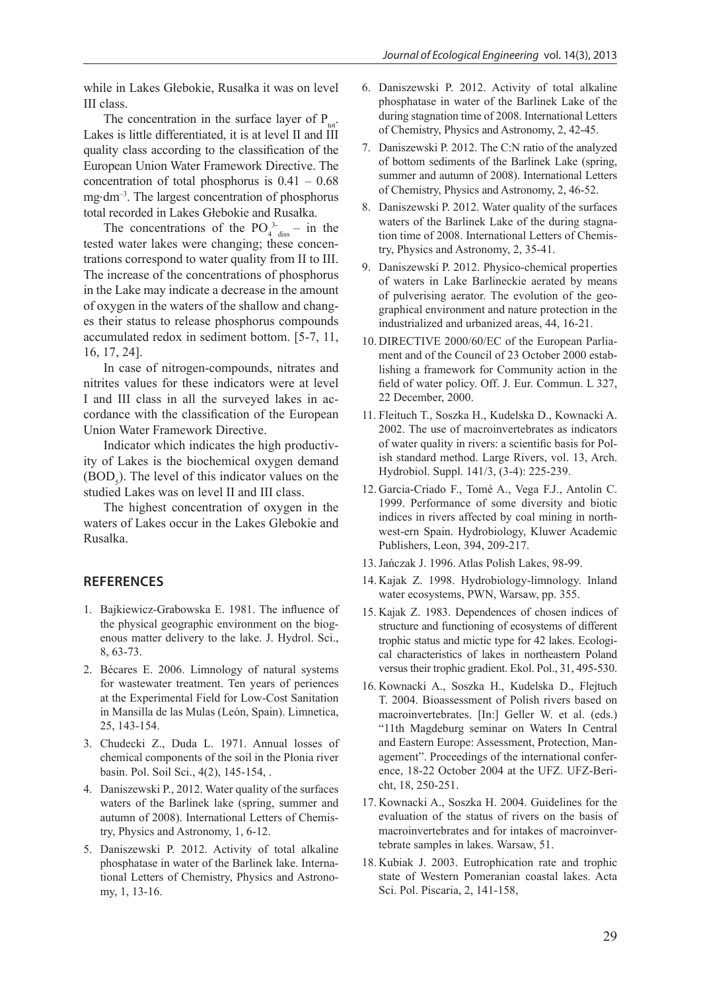while in Lakes Głebokie, Rusałka it was on level III class.

The concentration in the surface layer of  $P_{tot}$ . Lakes is little differentiated, it is at level II and III quality class according to the classification of the European Union Water Framework Directive. The concentration of total phosphorus is  $0.41 - 0.68$ mg⋅dm–3. The largest concentration of phosphorus total recorded in Lakes Głebokie and Rusałka.

The concentrations of the  $PO_4^{3-}$  in the tested water lakes were changing; these concentrations correspond to water quality from II to III. The increase of the concentrations of phosphorus in the Lake may indicate a decrease in the amount of oxygen in the waters of the shallow and changes their status to release phosphorus compounds accumulated redox in sediment bottom. [5-7, 11, 16, 17, 24].

In case of nitrogen-compounds, nitrates and nitrites values for these indicators were at level I and III class in all the surveyed lakes in accordance with the classification of the European Union Water Framework Directive.

Indicator which indicates the high productivity of Lakes is the biochemical oxygen demand  $(BOD<sub>5</sub>)$ . The level of this indicator values on the studied Lakes was on level II and III class.

The highest concentration of oxygen in the waters of Lakes occur in the Lakes Glebokie and Rusalka.

### **REFERENCES**

- 1. Bajkiewicz-Grabowska E. 1981. The influence of the physical geographic environment on the biogenous matter delivery to the lake. J. Hydrol. Sci., 8, 63-73.
- 2. Bécares E. 2006. Limnology of natural systems for wastewater treatment. Ten years of periences at the Experimental Field for Low-Cost Sanitation in Mansilla de las Mulas (León, Spain). Limnetica, 25, 143-154.
- 3. Chudecki Z., Duda L. 1971. Annual losses of chemical components of the soil in the Płonia river basin. Pol. Soil Sci., 4(2), 145-154, .
- 4. Daniszewski P., 2012. Water quality of the surfaces waters of the Barlinek lake (spring, summer and autumn of 2008). International Letters of Chemistry, Physics and Astronomy, 1, 6-12.
- 5. Daniszewski P. 2012. Activity of total alkaline phosphatase in water of the Barlinek lake. International Letters of Chemistry, Physics and Astronomy, 1, 13-16.
- 6. Daniszewski P. 2012. Activity of total alkaline phosphatase in water of the Barlinek Lake of the during stagnation time of 2008. International Letters of Chemistry, Physics and Astronomy, 2, 42-45.
- 7. Daniszewski P. 2012. The C:N ratio of the analyzed of bottom sediments of the Barlinek Lake (spring, summer and autumn of 2008). International Letters of Chemistry, Physics and Astronomy, 2, 46-52.
- 8. Daniszewski P. 2012. Water quality of the surfaces waters of the Barlinek Lake of the during stagnation time of 2008. International Letters of Chemistry, Physics and Astronomy, 2, 35-41.
- 9. Daniszewski P. 2012. Physico-chemical properties of waters in Lake Barlineckie aerated by means of pulverising aerator. The evolution of the geographical environment and nature protection in the industrialized and urbanized areas, 44, 16-21.
- 10. DIRECTIVE 2000/60/EC of the European Parliament and of the Council of 23 October 2000 establishing a framework for Community action in the field of water policy. Off. J. Eur. Commun. L 327, 22 December, 2000.
- 11. Fleituch T., Soszka H., Kudelska D., Kownacki A. 2002. The use of macroinvertebrates as indicators of water quality in rivers: a scientific basis for Polish standard method. Large Rivers, vol. 13, Arch. Hydrobiol. Suppl. 141/3, (3-4): 225-239.
- 12. Garcia-Criado F., Tomé A., Vega F.J., Antolin C. 1999. Performance of some diversity and biotic indices in rivers affected by coal mining in northwest-ern Spain. Hydrobiology, Kluwer Academic Publishers, Leon, 394, 209-217.
- 13.Jańczak J. 1996. Atlas Polish Lakes, 98-99.
- 14. Kajak Z. 1998. Hydrobiology-limnology. Inland water ecosystems, PWN, Warsaw, pp. 355.
- 15. Kajak Z. 1983. Dependences of chosen indices of structure and functioning of ecosystems of different trophic status and mictic type for 42 lakes. Ecological characteristics of lakes in northeastern Poland versus their trophic gradient. Ekol. Pol., 31, 495-530.
- 16. Kownacki A., Soszka H., Kudelska D., Flejtuch T. 2004. Bioassessment of Polish rivers based on macroinvertebrates. [In:] Geller W. et al. (eds.) "11th Magdeburg seminar on Waters In Central and Eastern Europe: Assessment, Protection, Management". Proceedings of the international conference, 18-22 October 2004 at the UFZ. UFZ-Bericht, 18, 250-251.
- 17. Kownacki A., Soszka H. 2004. Guidelines for the evaluation of the status of rivers on the basis of macroinvertebrates and for intakes of macroinvertebrate samples in lakes. Warsaw, 51.
- 18. Kubiak J. 2003. Eutrophication rate and trophic state of Western Pomeranian coastal lakes. Acta Sci. Pol. Piscaria, 2, 141-158,